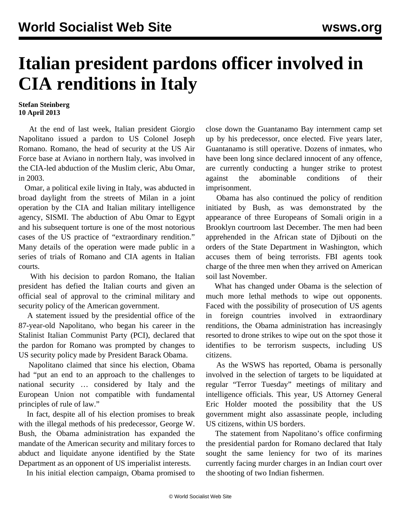## **Italian president pardons officer involved in CIA renditions in Italy**

## **Stefan Steinberg 10 April 2013**

 At the end of last week, Italian president Giorgio Napolitano issued a pardon to US Colonel Joseph Romano. Romano, the head of security at the US Air Force base at Aviano in northern Italy, was involved in the CIA-led abduction of the Muslim cleric, Abu Omar, in 2003.

 Omar, a political exile living in Italy, was abducted in broad daylight from the streets of Milan in a joint operation by the CIA and Italian military intelligence agency, SISMI. The abduction of Abu Omar to Egypt and his subsequent torture is one of the most notorious cases of the US practice of "extraordinary rendition." Many details of the operation were made public in a series of trials of Romano and CIA agents in Italian courts.

 With his decision to pardon Romano, the Italian president has defied the Italian courts and given an official seal of approval to the criminal military and security policy of the American government.

 A statement issued by the presidential office of the 87-year-old Napolitano, who began his career in the Stalinist Italian Communist Party (PCI), declared that the pardon for Romano was prompted by changes to US security policy made by President Barack Obama.

 Napolitano claimed that since his election, Obama had "put an end to an approach to the challenges to national security … considered by Italy and the European Union not compatible with fundamental principles of rule of law."

 In fact, despite all of his election promises to break with the illegal methods of his predecessor, George W. Bush, the Obama administration has expanded the mandate of the American security and military forces to abduct and liquidate anyone identified by the State Department as an opponent of US imperialist interests.

In his initial election campaign, Obama promised to

close down the Guantanamo Bay internment camp set up by his predecessor, once elected. Five years later, Guantanamo is still operative. Dozens of inmates, who have been long since declared innocent of any offence, are currently conducting a hunger strike to protest against the abominable conditions of their imprisonment.

 Obama has also continued the policy of rendition initiated by Bush, as was demonstrated by the appearance of three Europeans of Somali origin in a Brooklyn courtroom last December. The men had been apprehended in the African state of Djibouti on the orders of the State Department in Washington, which accuses them of being terrorists. FBI agents took charge of the three men when they arrived on American soil last November.

 What has changed under Obama is the selection of much more lethal methods to wipe out opponents. Faced with the possibility of prosecution of US agents in foreign countries involved in extraordinary renditions, the Obama administration has increasingly resorted to drone strikes to wipe out on the spot those it identifies to be terrorism suspects, including US citizens.

 As the WSWS has reported, Obama is personally involved in the selection of targets to be liquidated at regular "Terror Tuesday" meetings of military and intelligence officials. This year, US Attorney General Eric Holder mooted the possibility that the US government might also assassinate people, including US citizens, within US borders.

 The statement from Napolitano's office confirming the presidential pardon for Romano declared that Italy sought the same leniency for two of its marines currently facing murder charges in an Indian court over the shooting of two Indian fishermen.